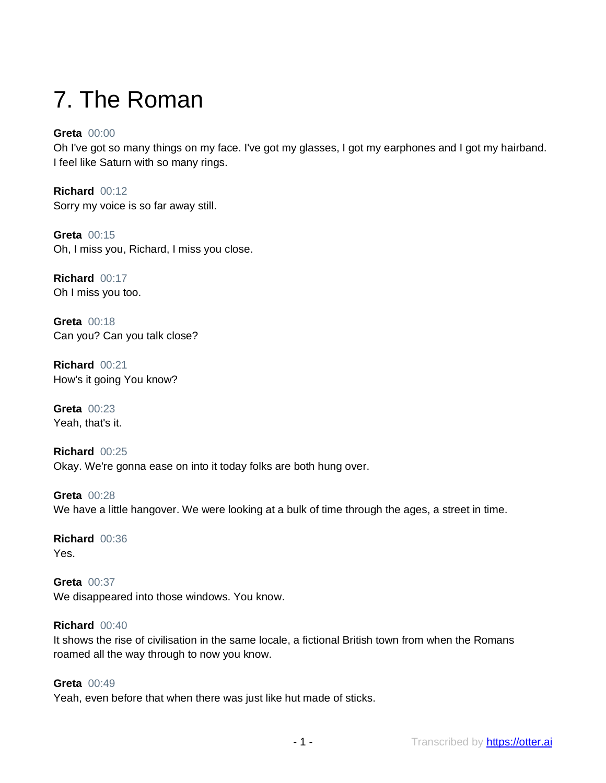# 7. The Roman

## **Greta** 00:00

Oh I've got so many things on my face. I've got my glasses, I got my earphones and I got my hairband. I feel like Saturn with so many rings.

**Richard** 00:12 Sorry my voice is so far away still.

**Greta** 00:15 Oh, I miss you, Richard, I miss you close.

**Richard** 00:17 Oh I miss you too.

**Greta** 00:18 Can you? Can you talk close?

**Richard** 00:21 How's it going You know?

**Greta** 00:23 Yeah, that's it.

**Richard** 00:25 Okay. We're gonna ease on into it today folks are both hung over.

**Greta** 00:28 We have a little hangover. We were looking at a bulk of time through the ages, a street in time.

**Richard** 00:36 Yes.

**Greta** 00:37 We disappeared into those windows. You know.

## **Richard** 00:40

It shows the rise of civilisation in the same locale, a fictional British town from when the Romans roamed all the way through to now you know.

## **Greta** 00:49

Yeah, even before that when there was just like hut made of sticks.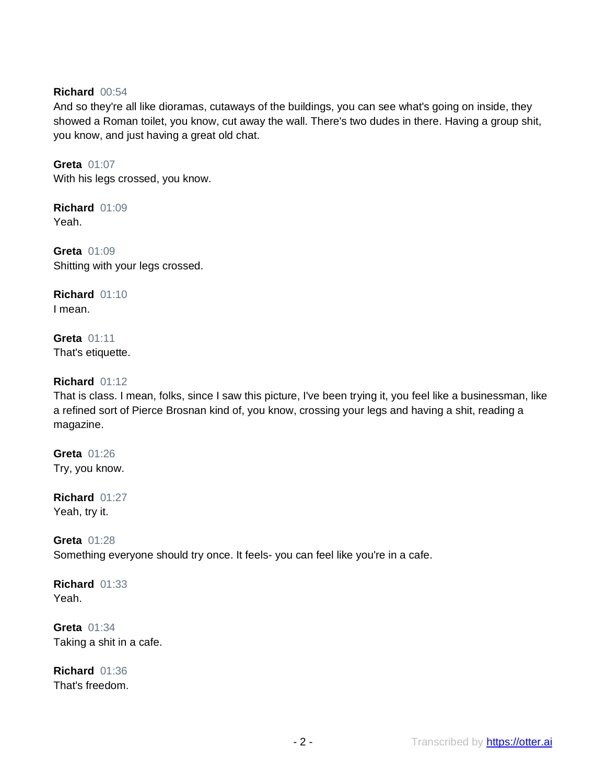## **Richard** 00:54

And so they're all like dioramas, cutaways of the buildings, you can see what's going on inside, they showed a Roman toilet, you know, cut away the wall. There's two dudes in there. Having a group shit, you know, and just having a great old chat.

#### **Greta** 01:07

With his legs crossed, you know.

**Richard** 01:09 Yeah.

**Greta** 01:09 Shitting with your legs crossed.

**Richard** 01:10 I mean.

**Greta** 01:11 That's etiquette.

## **Richard** 01:12

That is class. I mean, folks, since I saw this picture, I've been trying it, you feel like a businessman, like a refined sort of Pierce Brosnan kind of, you know, crossing your legs and having a shit, reading a magazine.

**Greta** 01:26 Try, you know.

**Richard** 01:27 Yeah, try it.

**Greta** 01:28 Something everyone should try once. It feels- you can feel like you're in a cafe.

**Richard** 01:33 Yeah.

**Greta** 01:34 Taking a shit in a cafe.

**Richard** 01:36 That's freedom.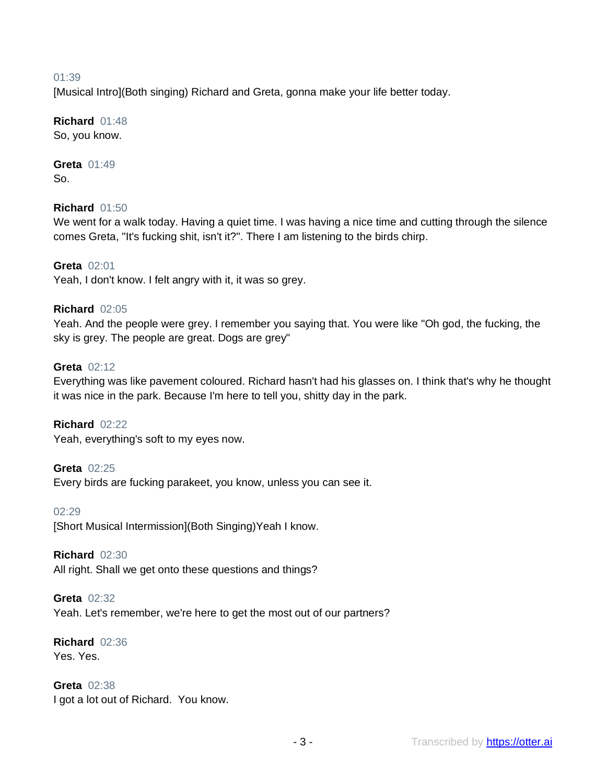### 01:39

[Musical Intro](Both singing) Richard and Greta, gonna make your life better today.

## **Richard** 01:48

So, you know.

#### **Greta** 01:49 So.

## **Richard** 01:50

We went for a walk today. Having a quiet time. I was having a nice time and cutting through the silence comes Greta, "It's fucking shit, isn't it?". There I am listening to the birds chirp.

## **Greta** 02:01

Yeah, I don't know. I felt angry with it, it was so grey.

## **Richard** 02:05

Yeah. And the people were grey. I remember you saying that. You were like "Oh god, the fucking, the sky is grey. The people are great. Dogs are grey"

## **Greta** 02:12

Everything was like pavement coloured. Richard hasn't had his glasses on. I think that's why he thought it was nice in the park. Because I'm here to tell you, shitty day in the park.

## **Richard** 02:22

Yeah, everything's soft to my eyes now.

## **Greta** 02:25

Every birds are fucking parakeet, you know, unless you can see it.

#### 02:29

[Short Musical Intermission](Both Singing)Yeah I know.

## **Richard** 02:30

All right. Shall we get onto these questions and things?

## **Greta** 02:32

Yeah. Let's remember, we're here to get the most out of our partners?

#### **Richard** 02:36 Yes. Yes.

**Greta** 02:38 I got a lot out of Richard. You know.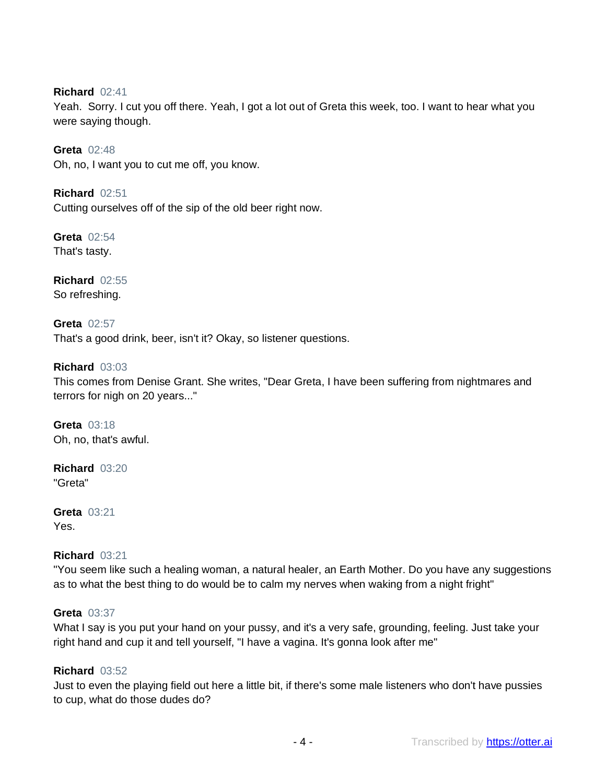**Richard** 02:41

Yeah. Sorry. I cut you off there. Yeah, I got a lot out of Greta this week, too. I want to hear what you were saying though.

**Greta** 02:48 Oh, no, I want you to cut me off, you know.

**Richard** 02:51 Cutting ourselves off of the sip of the old beer right now.

**Greta** 02:54 That's tasty.

**Richard** 02:55 So refreshing.

**Greta** 02:57 That's a good drink, beer, isn't it? Okay, so listener questions.

## **Richard** 03:03

This comes from Denise Grant. She writes, "Dear Greta, I have been suffering from nightmares and terrors for nigh on 20 years..."

**Greta** 03:18 Oh, no, that's awful.

**Richard** 03:20 "Greta"

**Greta** 03:21 Yes.

## **Richard** 03:21

"You seem like such a healing woman, a natural healer, an Earth Mother. Do you have any suggestions as to what the best thing to do would be to calm my nerves when waking from a night fright"

### **Greta** 03:37

What I say is you put your hand on your pussy, and it's a very safe, grounding, feeling. Just take your right hand and cup it and tell yourself, "I have a vagina. It's gonna look after me"

#### **Richard** 03:52

Just to even the playing field out here a little bit, if there's some male listeners who don't have pussies to cup, what do those dudes do?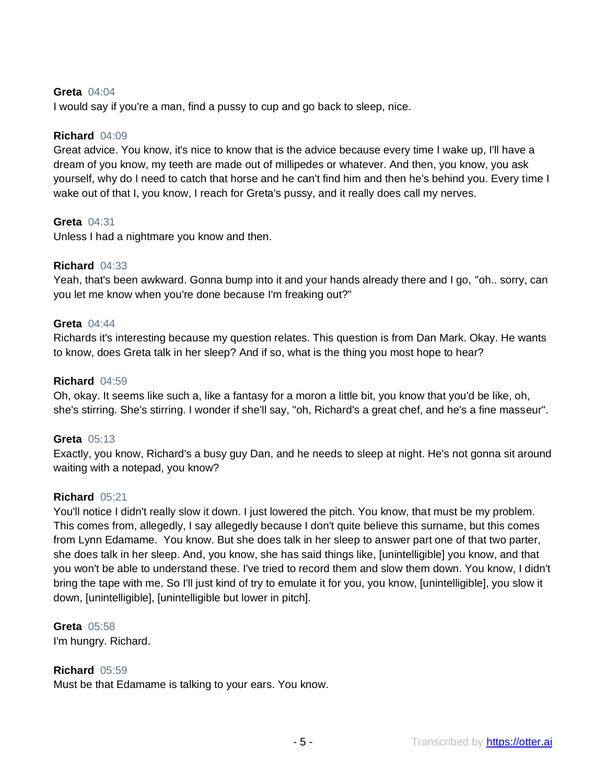## **Greta** 04:04

I would say if you're a man, find a pussy to cup and go back to sleep, nice.

### **Richard** 04:09

Great advice. You know, it's nice to know that is the advice because every time I wake up, I'll have a dream of you know, my teeth are made out of millipedes or whatever. And then, you know, you ask yourself, why do I need to catch that horse and he can't find him and then he's behind you. Every time I wake out of that I, you know, I reach for Greta's pussy, and it really does call my nerves.

#### **Greta** 04:31

Unless I had a nightmare you know and then.

#### **Richard** 04:33

Yeah, that's been awkward. Gonna bump into it and your hands already there and I go, "oh.. sorry, can you let me know when you're done because I'm freaking out?"

#### **Greta** 04:44

Richards it's interesting because my question relates. This question is from Dan Mark. Okay. He wants to know, does Greta talk in her sleep? And if so, what is the thing you most hope to hear?

#### **Richard** 04:59

Oh, okay. It seems like such a, like a fantasy for a moron a little bit, you know that you'd be like, oh, she's stirring. She's stirring. I wonder if she'll say, "oh, Richard's a great chef, and he's a fine masseur".

#### **Greta** 05:13

Exactly, you know, Richard's a busy guy Dan, and he needs to sleep at night. He's not gonna sit around waiting with a notepad, you know?

## **Richard** 05:21

You'll notice I didn't really slow it down. I just lowered the pitch. You know, that must be my problem. This comes from, allegedly, I say allegedly because I don't quite believe this surname, but this comes from Lynn Edamame. You know. But she does talk in her sleep to answer part one of that two parter, she does talk in her sleep. And, you know, she has said things like, [unintelligible] you know, and that you won't be able to understand these. I've tried to record them and slow them down. You know, I didn't bring the tape with me. So I'll just kind of try to emulate it for you, you know, [unintelligible], you slow it down, [unintelligible], [unintelligible but lower in pitch].

**Greta** 05:58 I'm hungry. Richard.

## **Richard** 05:59

Must be that Edamame is talking to your ears. You know.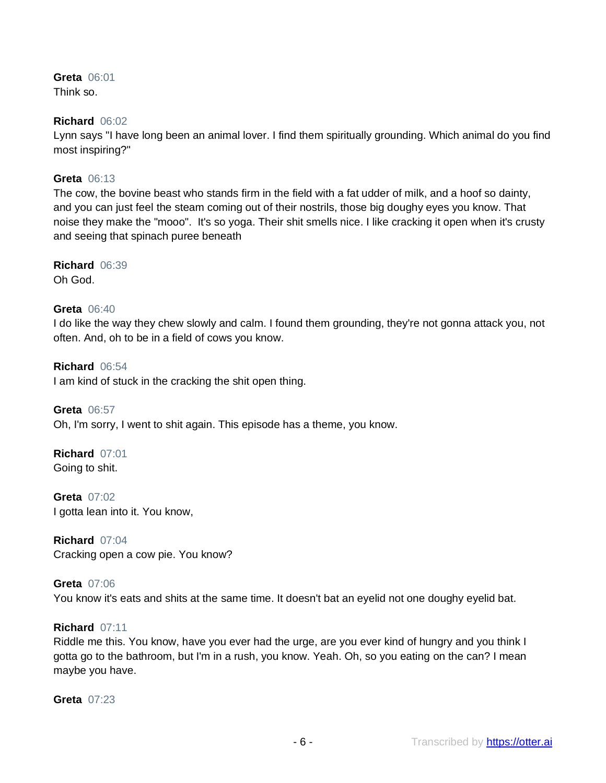**Greta** 06:01 Think so.

#### **Richard** 06:02

Lynn says "I have long been an animal lover. I find them spiritually grounding. Which animal do you find most inspiring?"

## **Greta** 06:13

The cow, the bovine beast who stands firm in the field with a fat udder of milk, and a hoof so dainty, and you can just feel the steam coming out of their nostrils, those big doughy eyes you know. That noise they make the "mooo". It's so yoga. Their shit smells nice. I like cracking it open when it's crusty and seeing that spinach puree beneath

**Richard** 06:39

Oh God.

## **Greta** 06:40

I do like the way they chew slowly and calm. I found them grounding, they're not gonna attack you, not often. And, oh to be in a field of cows you know.

**Richard** 06:54 I am kind of stuck in the cracking the shit open thing.

**Greta** 06:57 Oh, I'm sorry, I went to shit again. This episode has a theme, you know.

**Richard** 07:01 Going to shit.

**Greta** 07:02 I gotta lean into it. You know,

**Richard** 07:04 Cracking open a cow pie. You know?

**Greta** 07:06 You know it's eats and shits at the same time. It doesn't bat an eyelid not one doughy eyelid bat.

## **Richard** 07:11

Riddle me this. You know, have you ever had the urge, are you ever kind of hungry and you think I gotta go to the bathroom, but I'm in a rush, you know. Yeah. Oh, so you eating on the can? I mean maybe you have.

**Greta** 07:23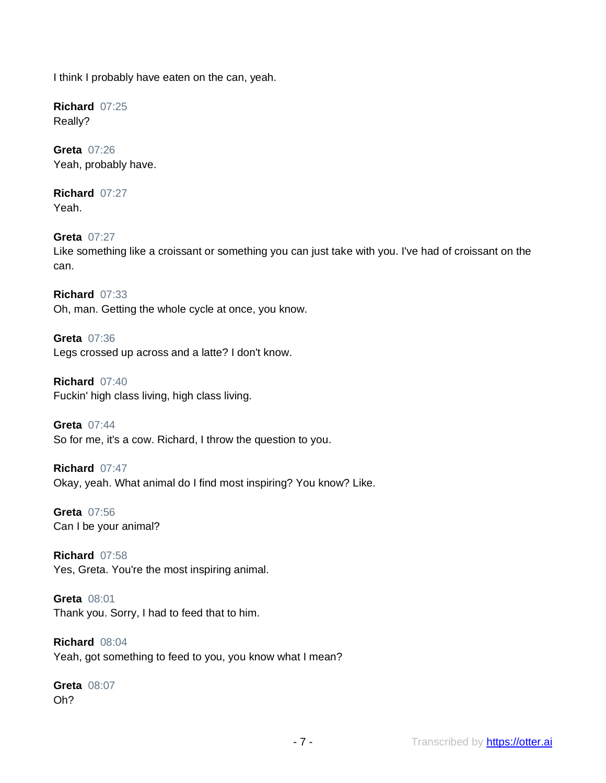I think I probably have eaten on the can, yeah.

**Richard** 07:25 Really?

**Greta** 07:26 Yeah, probably have.

**Richard** 07:27 Yeah.

**Greta** 07:27 Like something like a croissant or something you can just take with you. I've had of croissant on the can.

**Richard** 07:33 Oh, man. Getting the whole cycle at once, you know.

**Greta** 07:36 Legs crossed up across and a latte? I don't know.

**Richard** 07:40 Fuckin' high class living, high class living.

**Greta** 07:44 So for me, it's a cow. Richard, I throw the question to you.

**Richard** 07:47 Okay, yeah. What animal do I find most inspiring? You know? Like.

**Greta** 07:56 Can I be your animal?

**Richard** 07:58 Yes, Greta. You're the most inspiring animal.

**Greta** 08:01 Thank you. Sorry, I had to feed that to him.

**Richard** 08:04 Yeah, got something to feed to you, you know what I mean?

**Greta** 08:07 Oh?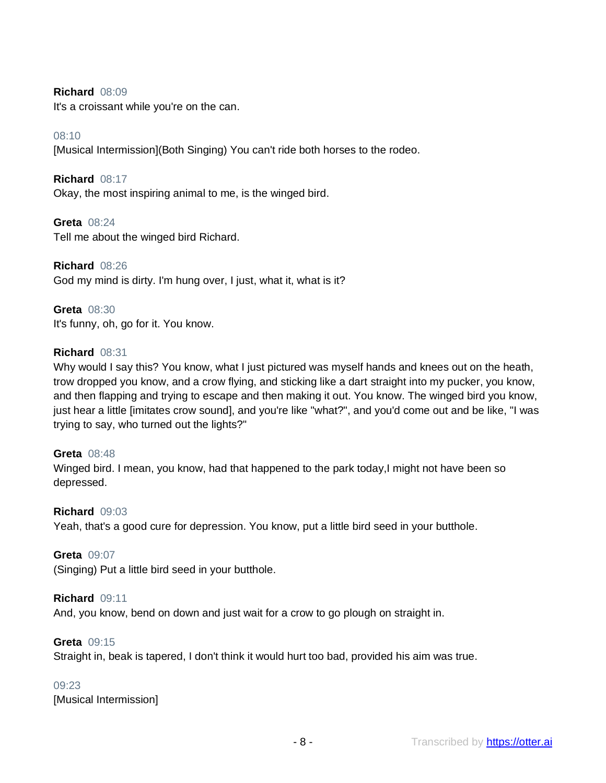## **Richard** 08:09

It's a croissant while you're on the can.

## 08:10

[Musical Intermission](Both Singing) You can't ride both horses to the rodeo.

## **Richard** 08:17

Okay, the most inspiring animal to me, is the winged bird.

## **Greta** 08:24

Tell me about the winged bird Richard.

**Richard** 08:26 God my mind is dirty. I'm hung over, I just, what it, what is it?

## **Greta** 08:30 It's funny, oh, go for it. You know.

## **Richard** 08:31

Why would I say this? You know, what I just pictured was myself hands and knees out on the heath, trow dropped you know, and a crow flying, and sticking like a dart straight into my pucker, you know, and then flapping and trying to escape and then making it out. You know. The winged bird you know, just hear a little [imitates crow sound], and you're like "what?", and you'd come out and be like, "I was trying to say, who turned out the lights?"

## **Greta** 08:48

Winged bird. I mean, you know, had that happened to the park today,I might not have been so depressed.

#### **Richard** 09:03

Yeah, that's a good cure for depression. You know, put a little bird seed in your butthole.

## **Greta** 09:07

(Singing) Put a little bird seed in your butthole.

## **Richard** 09:11

And, you know, bend on down and just wait for a crow to go plough on straight in.

## **Greta** 09:15

Straight in, beak is tapered, I don't think it would hurt too bad, provided his aim was true.

## 09:23

[Musical Intermission]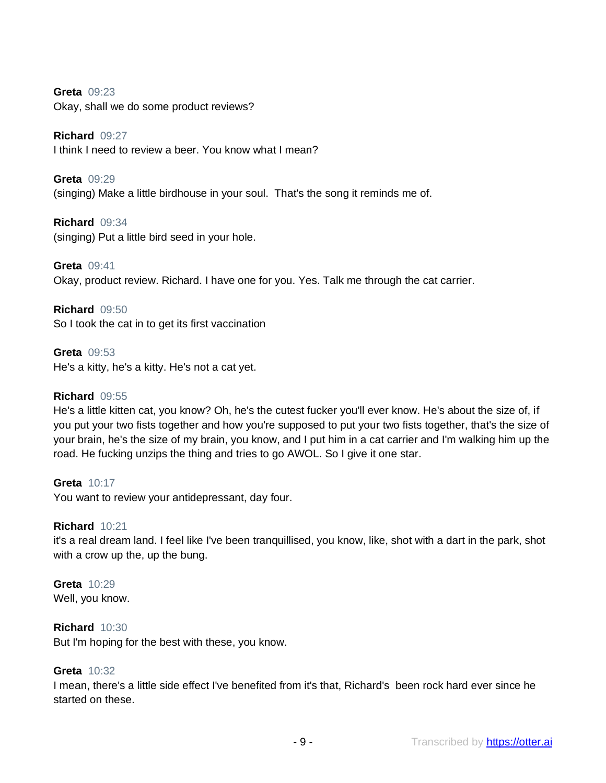**Greta** 09:23

Okay, shall we do some product reviews?

**Richard** 09:27

I think I need to review a beer. You know what I mean?

**Greta** 09:29 (singing) Make a little birdhouse in your soul. That's the song it reminds me of.

**Richard** 09:34 (singing) Put a little bird seed in your hole.

**Greta** 09:41 Okay, product review. Richard. I have one for you. Yes. Talk me through the cat carrier.

**Richard** 09:50 So I took the cat in to get its first vaccination

**Greta** 09:53 He's a kitty, he's a kitty. He's not a cat yet.

## **Richard** 09:55

He's a little kitten cat, you know? Oh, he's the cutest fucker you'll ever know. He's about the size of, if you put your two fists together and how you're supposed to put your two fists together, that's the size of your brain, he's the size of my brain, you know, and I put him in a cat carrier and I'm walking him up the road. He fucking unzips the thing and tries to go AWOL. So I give it one star.

**Greta** 10:17 You want to review your antidepressant, day four.

#### **Richard** 10:21

it's a real dream land. I feel like I've been tranquillised, you know, like, shot with a dart in the park, shot with a crow up the, up the bung.

**Greta** 10:29 Well, you know.

**Richard** 10:30

But I'm hoping for the best with these, you know.

#### **Greta** 10:32

I mean, there's a little side effect I've benefited from it's that, Richard's been rock hard ever since he started on these.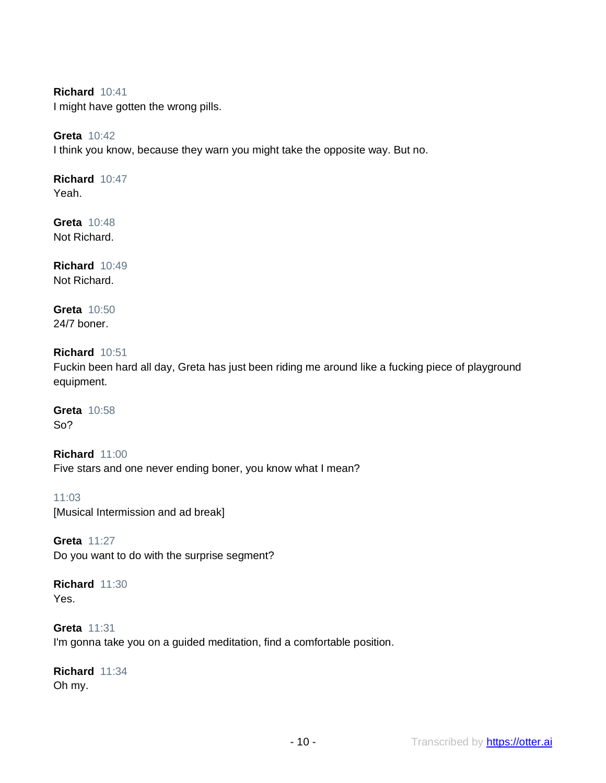**Richard** 10:41

I might have gotten the wrong pills.

## **Greta** 10:42

I think you know, because they warn you might take the opposite way. But no.

## **Richard** 10:47

Yeah.

**Greta** 10:48 Not Richard.

**Richard** 10:49 Not Richard.

**Greta** 10:50 24/7 boner.

## **Richard** 10:51

Fuckin been hard all day, Greta has just been riding me around like a fucking piece of playground equipment.

**Greta** 10:58 So?

**Richard** 11:00 Five stars and one never ending boner, you know what I mean?

11:03 [Musical Intermission and ad break]

**Greta** 11:27 Do you want to do with the surprise segment?

**Richard** 11:30 Yes.

**Greta** 11:31 I'm gonna take you on a guided meditation, find a comfortable position.

**Richard** 11:34 Oh my.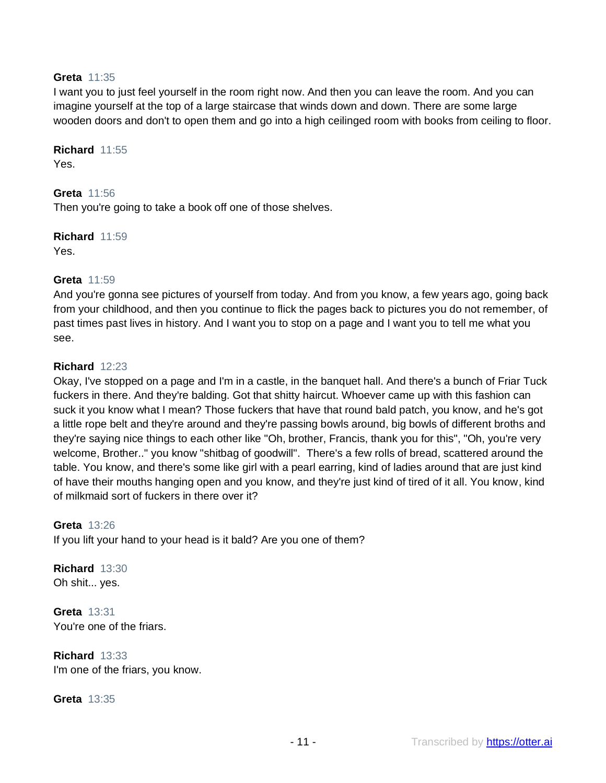## **Greta** 11:35

I want you to just feel yourself in the room right now. And then you can leave the room. And you can imagine yourself at the top of a large staircase that winds down and down. There are some large wooden doors and don't to open them and go into a high ceilinged room with books from ceiling to floor.

**Richard** 11:55 Yes.

**Greta** 11:56 Then you're going to take a book off one of those shelves.

**Richard** 11:59

Yes.

## **Greta** 11:59

And you're gonna see pictures of yourself from today. And from you know, a few years ago, going back from your childhood, and then you continue to flick the pages back to pictures you do not remember, of past times past lives in history. And I want you to stop on a page and I want you to tell me what you see.

#### **Richard** 12:23

Okay, I've stopped on a page and I'm in a castle, in the banquet hall. And there's a bunch of Friar Tuck fuckers in there. And they're balding. Got that shitty haircut. Whoever came up with this fashion can suck it you know what I mean? Those fuckers that have that round bald patch, you know, and he's got a little rope belt and they're around and they're passing bowls around, big bowls of different broths and they're saying nice things to each other like "Oh, brother, Francis, thank you for this", "Oh, you're very welcome, Brother.." you know "shitbag of goodwill". There's a few rolls of bread, scattered around the table. You know, and there's some like girl with a pearl earring, kind of ladies around that are just kind of have their mouths hanging open and you know, and they're just kind of tired of it all. You know, kind of milkmaid sort of fuckers in there over it?

#### **Greta** 13:26

If you lift your hand to your head is it bald? Are you one of them?

**Richard** 13:30 Oh shit... yes.

**Greta** 13:31 You're one of the friars.

**Richard** 13:33 I'm one of the friars, you know.

**Greta** 13:35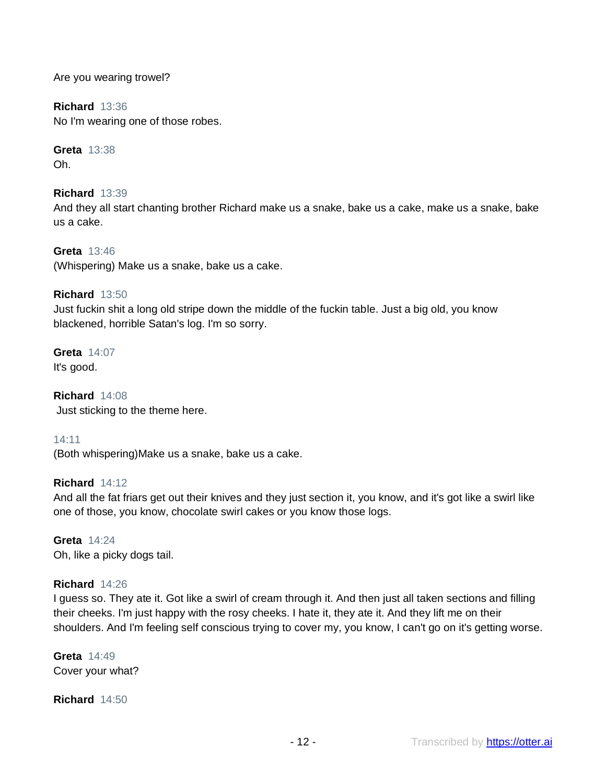Are you wearing trowel?

**Richard** 13:36 No I'm wearing one of those robes.

**Greta** 13:38 Oh.

**Richard** 13:39 And they all start chanting brother Richard make us a snake, bake us a cake, make us a snake, bake us a cake.

**Greta** 13:46 (Whispering) Make us a snake, bake us a cake.

## **Richard** 13:50

Just fuckin shit a long old stripe down the middle of the fuckin table. Just a big old, you know blackened, horrible Satan's log. I'm so sorry.

**Greta** 14:07 It's good.

**Richard** 14:08 Just sticking to the theme here.

## 14:11

(Both whispering)Make us a snake, bake us a cake.

## **Richard** 14:12

And all the fat friars get out their knives and they just section it, you know, and it's got like a swirl like one of those, you know, chocolate swirl cakes or you know those logs.

**Greta** 14:24 Oh, like a picky dogs tail.

## **Richard** 14:26

I guess so. They ate it. Got like a swirl of cream through it. And then just all taken sections and filling their cheeks. I'm just happy with the rosy cheeks. I hate it, they ate it. And they lift me on their shoulders. And I'm feeling self conscious trying to cover my, you know, I can't go on it's getting worse.

**Greta** 14:49 Cover your what?

**Richard** 14:50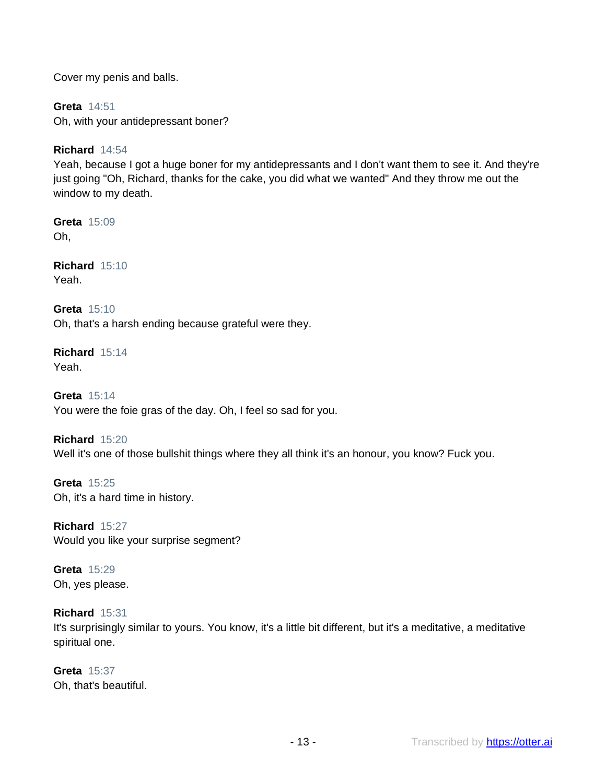Cover my penis and balls.

**Greta** 14:51 Oh, with your antidepressant boner?

## **Richard** 14:54

Yeah, because I got a huge boner for my antidepressants and I don't want them to see it. And they're just going "Oh, Richard, thanks for the cake, you did what we wanted" And they throw me out the window to my death.

**Greta** 15:09 Oh,

**Richard** 15:10 Yeah.

**Greta** 15:10 Oh, that's a harsh ending because grateful were they.

**Richard** 15:14 Yeah.

**Greta** 15:14 You were the foie gras of the day. Oh, I feel so sad for you.

**Richard** 15:20 Well it's one of those bullshit things where they all think it's an honour, you know? Fuck you.

**Greta** 15:25 Oh, it's a hard time in history.

**Richard** 15:27 Would you like your surprise segment?

**Greta** 15:29 Oh, yes please.

**Richard** 15:31

It's surprisingly similar to yours. You know, it's a little bit different, but it's a meditative, a meditative spiritual one.

**Greta** 15:37 Oh, that's beautiful.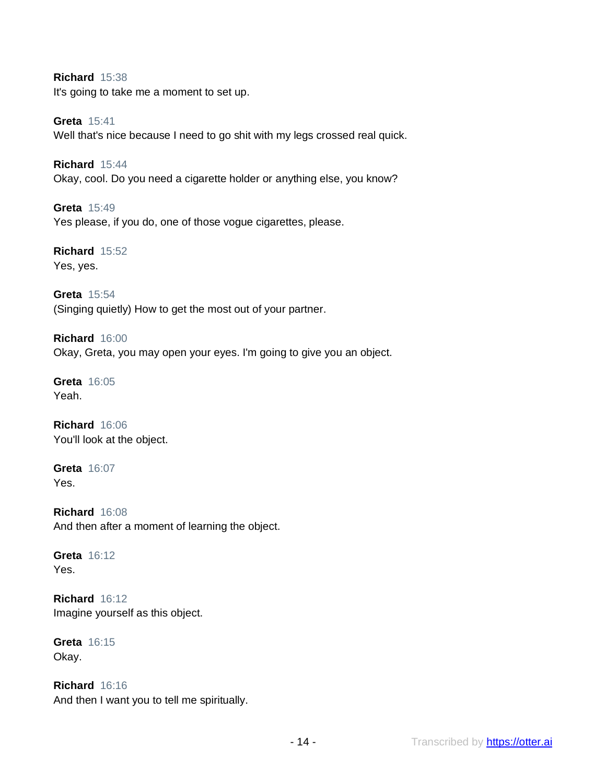**Richard** 15:38 It's going to take me a moment to set up.

**Greta** 15:41 Well that's nice because I need to go shit with my legs crossed real quick.

**Richard** 15:44 Okay, cool. Do you need a cigarette holder or anything else, you know?

**Greta** 15:49 Yes please, if you do, one of those vogue cigarettes, please.

**Richard** 15:52 Yes, yes.

**Greta** 15:54 (Singing quietly) How to get the most out of your partner.

**Richard** 16:00 Okay, Greta, you may open your eyes. I'm going to give you an object.

**Greta** 16:05 Yeah.

**Richard** 16:06 You'll look at the object.

**Greta** 16:07 Yes.

**Richard** 16:08 And then after a moment of learning the object.

**Greta** 16:12 Yes.

**Richard** 16:12 Imagine yourself as this object.

**Greta** 16:15 Okay.

**Richard** 16:16 And then I want you to tell me spiritually.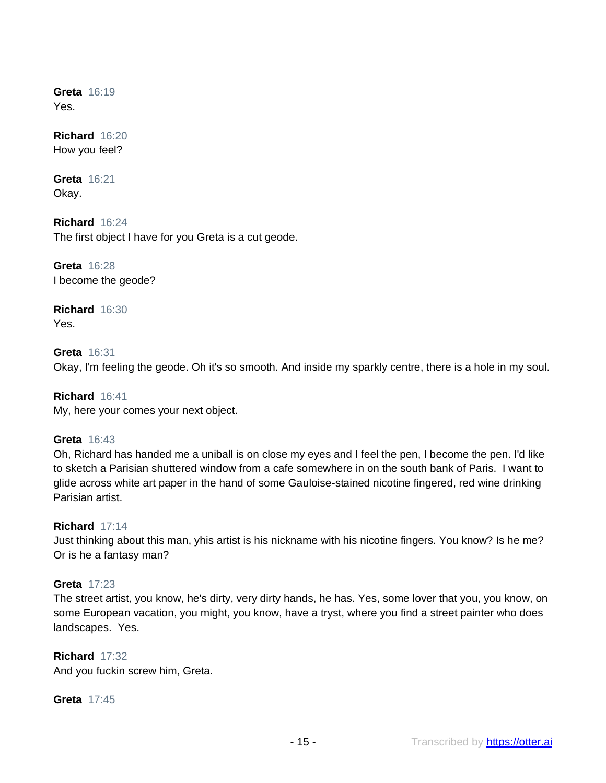**Greta** 16:19 Yes.

**Richard** 16:20 How you feel?

**Greta** 16:21 Okay.

**Richard** 16:24 The first object I have for you Greta is a cut geode.

**Greta** 16:28 I become the geode?

**Richard** 16:30 Yes.

**Greta** 16:31 Okay, I'm feeling the geode. Oh it's so smooth. And inside my sparkly centre, there is a hole in my soul.

**Richard** 16:41 My, here your comes your next object.

## **Greta** 16:43

Oh, Richard has handed me a uniball is on close my eyes and I feel the pen, I become the pen. I'd like to sketch a Parisian shuttered window from a cafe somewhere in on the south bank of Paris. I want to glide across white art paper in the hand of some Gauloise-stained nicotine fingered, red wine drinking Parisian artist.

## **Richard** 17:14

Just thinking about this man, yhis artist is his nickname with his nicotine fingers. You know? Is he me? Or is he a fantasy man?

## **Greta** 17:23

The street artist, you know, he's dirty, very dirty hands, he has. Yes, some lover that you, you know, on some European vacation, you might, you know, have a tryst, where you find a street painter who does landscapes. Yes.

## **Richard** 17:32

And you fuckin screw him, Greta.

**Greta** 17:45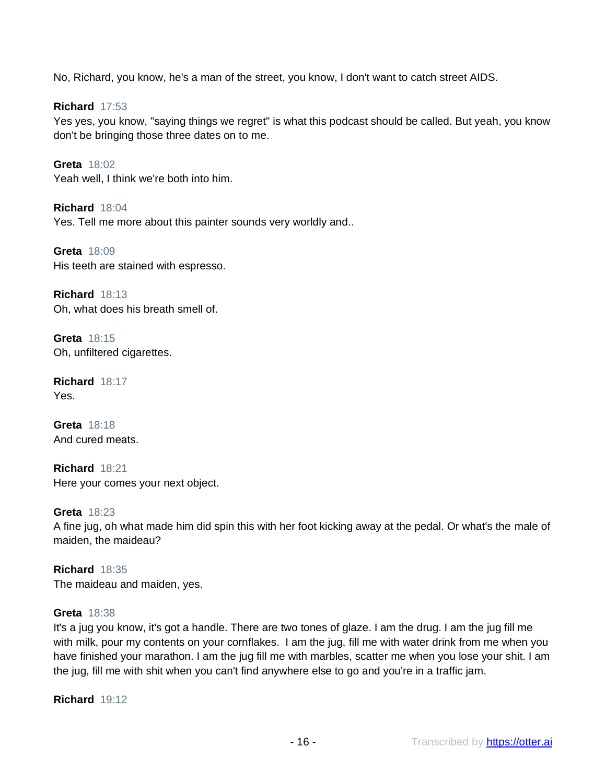No, Richard, you know, he's a man of the street, you know, I don't want to catch street AIDS.

**Richard** 17:53 Yes yes, you know, "saying things we regret" is what this podcast should be called. But yeah, you know don't be bringing those three dates on to me.

**Greta** 18:02 Yeah well, I think we're both into him.

**Richard** 18:04 Yes. Tell me more about this painter sounds very worldly and..

**Greta** 18:09 His teeth are stained with espresso.

**Richard** 18:13 Oh, what does his breath smell of.

**Greta** 18:15 Oh, unfiltered cigarettes.

**Richard** 18:17 Yes.

**Greta** 18:18 And cured meats.

**Richard** 18:21 Here your comes your next object.

**Greta** 18:23 A fine jug, oh what made him did spin this with her foot kicking away at the pedal. Or what's the male of maiden, the maideau?

**Richard** 18:35 The maideau and maiden, yes.

## **Greta** 18:38

It's a jug you know, it's got a handle. There are two tones of glaze. I am the drug. I am the jug fill me with milk, pour my contents on your cornflakes. I am the jug, fill me with water drink from me when you have finished your marathon. I am the jug fill me with marbles, scatter me when you lose your shit. I am the jug, fill me with shit when you can't find anywhere else to go and you're in a traffic jam.

**Richard** 19:12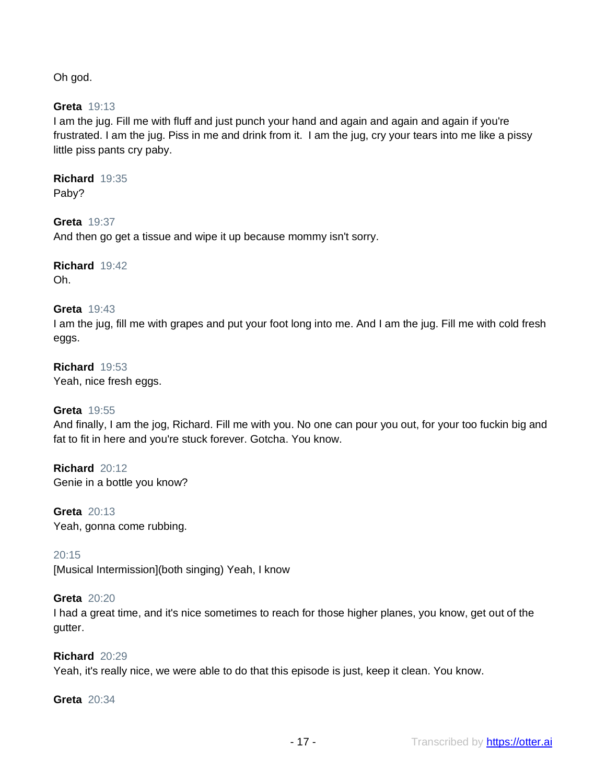Oh god.

**Greta** 19:13

I am the jug. Fill me with fluff and just punch your hand and again and again and again if you're frustrated. I am the jug. Piss in me and drink from it. I am the jug, cry your tears into me like a pissy little piss pants cry paby.

**Richard** 19:35 Paby?

**Greta** 19:37 And then go get a tissue and wipe it up because mommy isn't sorry.

**Richard** 19:42 Oh.

**Greta** 19:43

I am the jug, fill me with grapes and put your foot long into me. And I am the jug. Fill me with cold fresh eggs.

**Richard** 19:53 Yeah, nice fresh eggs.

## **Greta** 19:55

And finally, I am the jog, Richard. Fill me with you. No one can pour you out, for your too fuckin big and fat to fit in here and you're stuck forever. Gotcha. You know.

**Richard** 20:12 Genie in a bottle you know?

**Greta** 20:13 Yeah, gonna come rubbing.

20:15

[Musical Intermission](both singing) Yeah, I know

## **Greta** 20:20

I had a great time, and it's nice sometimes to reach for those higher planes, you know, get out of the gutter.

#### **Richard** 20:29

Yeah, it's really nice, we were able to do that this episode is just, keep it clean. You know.

**Greta** 20:34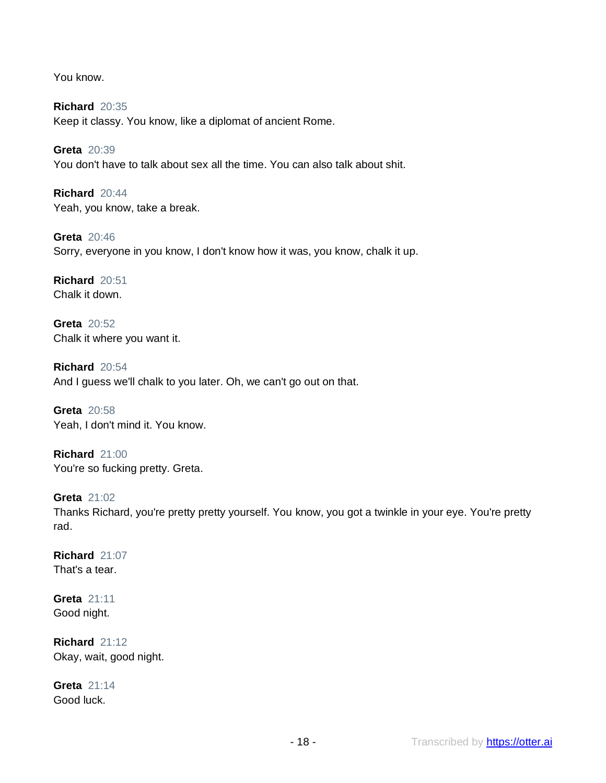You know.

**Richard** 20:35 Keep it classy. You know, like a diplomat of ancient Rome.

**Greta** 20:39 You don't have to talk about sex all the time. You can also talk about shit.

**Richard** 20:44 Yeah, you know, take a break.

**Greta** 20:46 Sorry, everyone in you know, I don't know how it was, you know, chalk it up.

**Richard** 20:51 Chalk it down.

**Greta** 20:52 Chalk it where you want it.

**Richard** 20:54 And I guess we'll chalk to you later. Oh, we can't go out on that.

**Greta** 20:58 Yeah, I don't mind it. You know.

**Richard** 21:00 You're so fucking pretty. Greta.

**Greta** 21:02 Thanks Richard, you're pretty pretty yourself. You know, you got a twinkle in your eye. You're pretty rad.

**Richard** 21:07 That's a tear.

**Greta** 21:11 Good night.

**Richard** 21:12 Okay, wait, good night.

**Greta** 21:14 Good luck.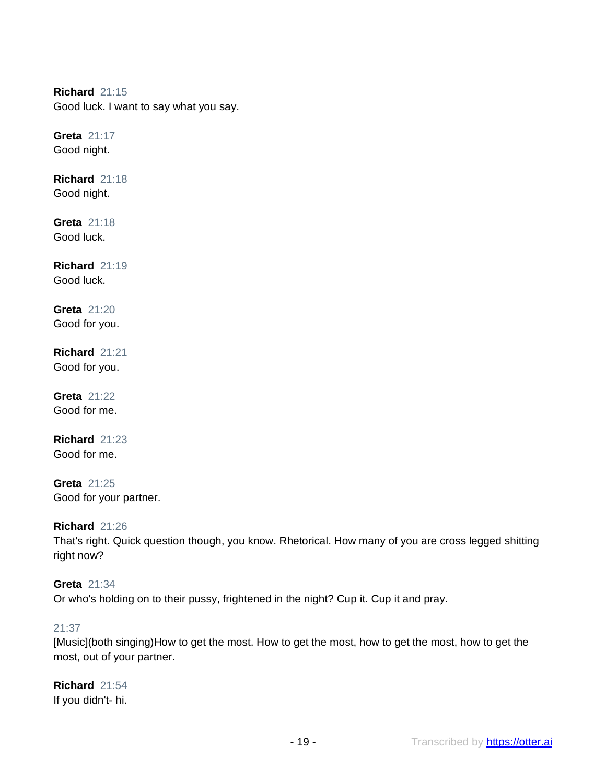**Richard** 21:15 Good luck. I want to say what you say.

**Greta** 21:17 Good night.

**Richard** 21:18 Good night.

**Greta** 21:18 Good luck.

**Richard** 21:19 Good luck.

**Greta** 21:20 Good for you.

**Richard** 21:21 Good for you.

**Greta** 21:22 Good for me.

**Richard** 21:23 Good for me.

**Greta** 21:25 Good for your partner.

**Richard** 21:26

That's right. Quick question though, you know. Rhetorical. How many of you are cross legged shitting right now?

**Greta** 21:34 Or who's holding on to their pussy, frightened in the night? Cup it. Cup it and pray.

## 21:37

[Music](both singing)How to get the most. How to get the most, how to get the most, how to get the most, out of your partner.

**Richard** 21:54 If you didn't- hi.